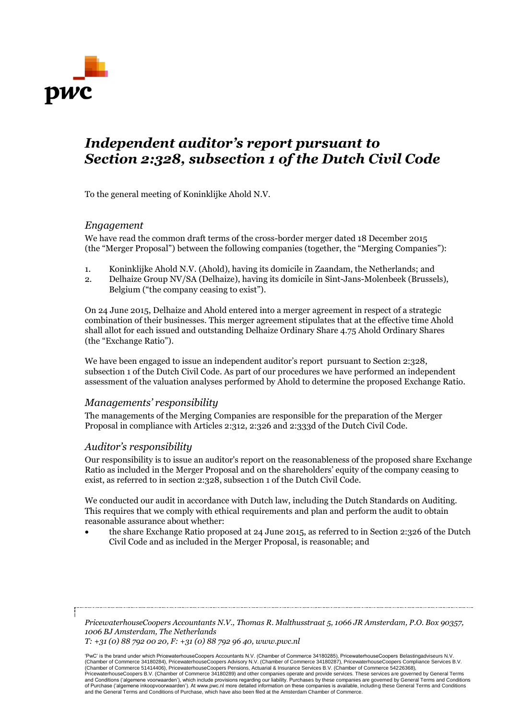

# *Independent auditor's report pursuant to Section 2:328, subsection 1 of the Dutch Civil Code*

To the general meeting of Koninklijke Ahold N.V.

## *Engagement*

We have read the common draft terms of the cross-border merger dated 18 December 2015 (the "Merger Proposal") between the following companies (together, the "Merging Companies"):

- 1. Koninklijke Ahold N.V. (Ahold), having its domicile in Zaandam, the Netherlands; and
- 2. Delhaize Group NV/SA (Delhaize), having its domicile in Sint-Jans-Molenbeek (Brussels), Belgium ("the company ceasing to exist").

On 24 June 2015, Delhaize and Ahold entered into a merger agreement in respect of a strategic combination of their businesses. This merger agreement stipulates that at the effective time Ahold shall allot for each issued and outstanding Delhaize Ordinary Share 4.75 Ahold Ordinary Shares (the "Exchange Ratio").

We have been engaged to issue an independent auditor's report pursuant to Section 2:328, subsection 1 of the Dutch Civil Code. As part of our procedures we have performed an independent assessment of the valuation analyses performed by Ahold to determine the proposed Exchange Ratio.

# *Managements' responsibility*

The managements of the Merging Companies are responsible for the preparation of the Merger Proposal in compliance with Articles 2:312, 2:326 and 2:333d of the Dutch Civil Code.

#### *Auditor's responsibility*

Our responsibility is to issue an auditor's report on the reasonableness of the proposed share Exchange Ratio as included in the Merger Proposal and on the shareholders' equity of the company ceasing to exist, as referred to in section 2:328, subsection 1 of the Dutch Civil Code.

We conducted our audit in accordance with Dutch law, including the Dutch Standards on Auditing. This requires that we comply with ethical requirements and plan and perform the audit to obtain reasonable assurance about whether:

 the share Exchange Ratio proposed at 24 June 2015, as referred to in Section 2:326 of the Dutch Civil Code and as included in the Merger Proposal, is reasonable; and

*PricewaterhouseCoopers Accountants N.V., Thomas R. Malthusstraat 5, 1066 JR Amsterdam, P.O. Box 90357, 1006 BJ Amsterdam, The Netherlands T: +31 (0) 88 792 00 20, F: +31 (0) 88 792 96 40, www.pwc.nl*

'PwC' is the brand under which PricewaterhouseCoopers Accountants N.V. (Chamber of Commerce 34180285), PricewaterhouseCoopers Belastingadviseurs N.V. (Chamber of Commerce 34180284), PricewaterhouseCoopers Advisory N.V. (Chamber of Commerce 34180287), PricewaterhouseCoopers Compliance Services B.V. (Chamber of Commerce 51414406), PricewaterhouseCoopers Pensions, Actuarial & Insurance Services B.V. (Chamber of Commerce 54226368),<br>PricewaterhouseCoopers B.V. (Chamber of Commerce 34180289) and other companies operate an and Conditions ('algemene voorwaarden'), which include provisions regarding our liability. Purchases by these companies are governed by General Terms and Conditions<br>of Purchase ('algemene inkoopvoorwaarden'). At www.pwc.nl and the General Terms and Conditions of Purchase, which have also been filed at the Amsterdam Chamber of Commerce.